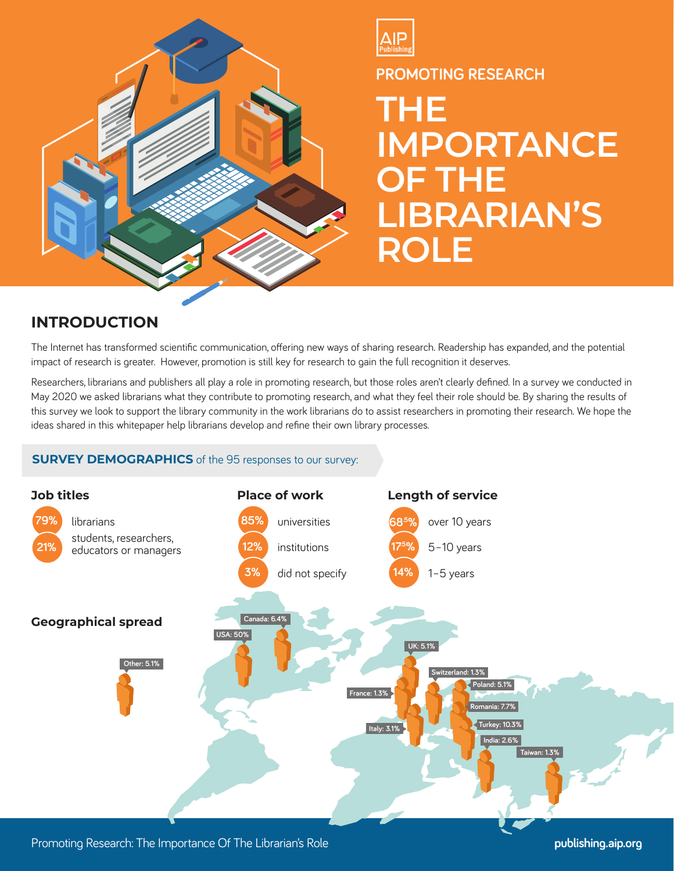



**PROMOTING RESEARCH**

**THE IMPORTANCE OF THE LIBRARIAN'S ROLE**

# **INTRODUCTION**

The Internet has transformed scientific communication, offering new ways of sharing research. Readership has expanded, and the potential impact of research is greater. However, promotion is still key for research to gain the full recognition it deserves.

Researchers, librarians and publishers all play a role in promoting research, but those roles aren't clearly defined. In a survey we conducted in May 2020 we asked librarians what they contribute to promoting research, and what they feel their role should be. By sharing the results of this survey we look to support the library community in the work librarians do to assist researchers in promoting their research. We hope the ideas shared in this whitepaper help librarians develop and refine their own library processes.

## **SURVEY DEMOGRAPHICS** of the 95 responses to our survey:



Promoting Research: The Importance Of The Librarian's Role **publishing.aip.org**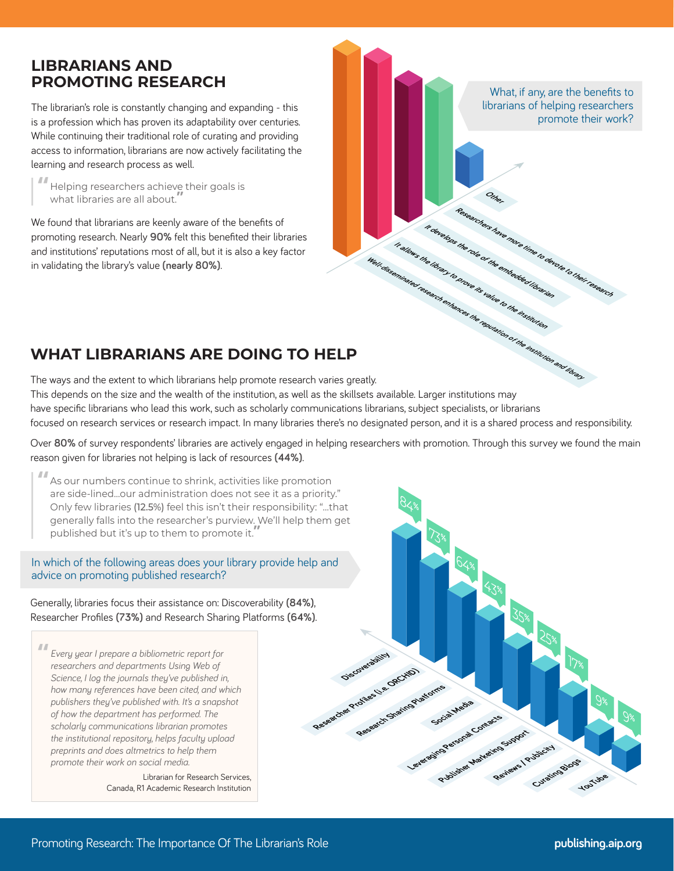# **LIBRARIANS AND PROMOTING RESEARCH**

The librarian's role is constantly changing and expanding - this is a profession which has proven its adaptability over centuries. While continuing their traditional role of curating and providing access to information, librarians are now actively facilitating the learning and research process as well.

**"** Helping researchers achieve their goals is what libraries are all about.**"**

We found that librarians are keenly aware of the benefits of promoting research. Nearly **90%** felt this benefited their libraries and institutions' reputations most of all, but it is also a key factor in validating the library's value **(nearly 80%)**.

What, if any, are the benefits to librarians of helping researchers promote their work? **Other** Researchers have more time to devote to their research<br>and the online the more than the to their research **It develops the role of the embedded librarian It allows the library to prove its value to the institution Well-disseminated research enhances the reputation of the institution and library**

# **WHAT LIBRARIANS ARE DOING TO HELP**

The ways and the extent to which librarians help promote research varies greatly. This depends on the size and the wealth of the institution, as well as the skillsets available. Larger institutions may have specific librarians who lead this work, such as scholarly communications librarians, subject specialists, or librarians focused on research services or research impact. In many libraries there's no designated person, and it is a shared process and responsibility.

Over **80%** of survey respondents' libraries are actively engaged in helping researchers with promotion. Through this survey we found the main reason given for libraries not helping is lack of resources **(44%)**.

**"** As our numbers continue to shrink, activities like promotion are side-lined…our administration does not see it as a priority." Only few libraries (12.5%) feel this isn't their responsibility: "…that generally falls into the researcher's purview. We'll help them get published but it's up to them to promote it.**"**

#### In which of the following areas does your library provide help and advice on promoting published research?

Generally, libraries focus their assistance on: Discoverability **(84%)**, Researcher Profiles **(73%)** and Research Sharing Platforms **(64%)**.

**"** *Every year I prepare a bibliometric report for researchers and departments Using Web of Science, I log the journals they've published in, how many references have been cited, and which publishers they've published with. It's a snapshot of how the department has performed. The scholarly communications librarian promotes the institutional repository, helps faculty upload preprints and does altmetrics to help them promote their work on social media.*

> Librarian for Research Services, Canada, R1 Academic Research Institution

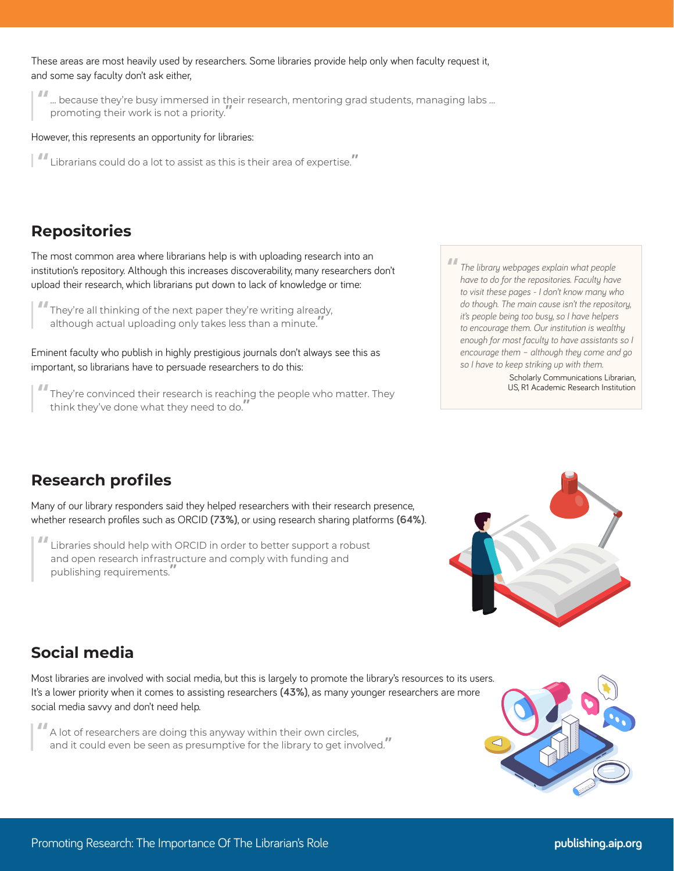These areas are most heavily used by researchers. Some libraries provide help only when faculty request it, and some say faculty don't ask either,

**"**... because they're busy immersed in their research, mentoring grad students, managing labs … promoting their work is not a priority.**"**

However, this represents an opportunity for libraries:

**"** Librarians could do a lot to assist as this is their area of expertise.**"**

# **Repositories**

The most common area where librarians help is with uploading research into an institution's repository. Although this increases discoverability, many researchers don't upload their research, which librarians put down to lack of knowledge or time:

**"** They're all thinking of the next paper they're writing already, although actual uploading only takes less than a minute.**"**

Eminent faculty who publish in highly prestigious journals don't always see this as important, so librarians have to persuade researchers to do this:

**"** They're convinced their research is reaching the people who matter. They think they've done what they need to do.**"**

**"** *The library webpages explain what people have to do for the repositories. Faculty have to visit these pages - I don't know many who do though. The main cause isn't the repository, it's people being too busy, so I have helpers to encourage them. Our institution is wealthy enough for most faculty to have assistants so I encourage them – although they come and go so I have to keep striking up with them.*

> Scholarly Communications Librarian, US, R1 Academic Research Institution

## **Research profiles**

Many of our library responders said they helped researchers with their research presence, whether research profiles such as ORCID **(73%)**, or using research sharing platforms **(64%)**.

**"** Libraries should help with ORCID in order to better support a robust and open research infrastructure and comply with funding and publishing requirements.**"**



# **Social media**

Most libraries are involved with social media, but this is largely to promote the library's resources to its users. It's a lower priority when it comes to assisting researchers **(43%)**, as many younger researchers are more social media savvy and don't need help.

**"** A lot of researchers are doing this anyway within their own circles, and it could even be seen as presumptive for the library to get involved.**"**

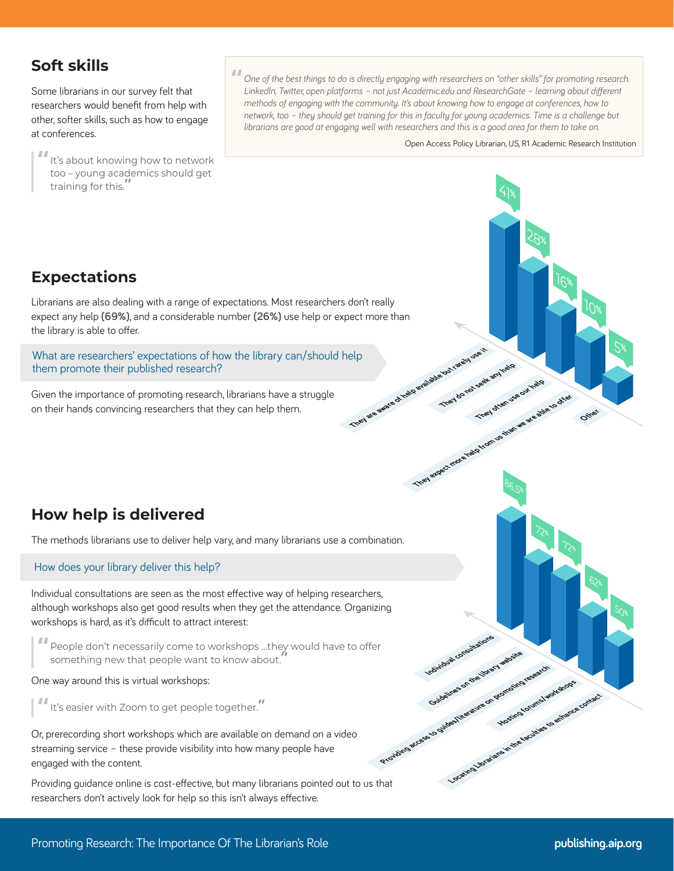# **Soft skills**

Some librarians in our survey felt that researchers would benefit from help with other, softer skills, such as how to engage at conferences.

**"**It's about knowing how to network too – young academics should get training for this.**"**

**"** *One of the best things to do is directly engaging with researchers on "other skills" for promoting research. LinkedIn, Twitter, open platforms – not just Academic.edu and ResearchGate – learning about different methods of engaging with the community. It's about knowing how to engage at conferences, how to network, too – they should get training for this in faculty for young academics. Time is a challenge but librarians are good at engaging well with researchers and this is a good area for them to take on.*

Open Access Policy Librarian, US, R1 Academic Research Institution

41**%**

**They often use our help** 

86.5**%**

72**%**

**Hosting forums/workshops** 

72**%**

**They do not seek any help** 

Guidelines on the divery website<br>Guidelines on the divery website

Lconsultati

Locating Librarians

**Providing access to guides/literature on promoting research**

They expect more heals from us than we are able to offer

28**%**

10**%**

**Other**

62**%**

50**%**

16**%**

5**%**

# **Expectations**

Librarians are also dealing with a range of expectations. Most researchers don't really expect any help **(69%)**, and a considerable number **(26%)** use help or expect more than the library is able to offer.

What are researchers' expectations of how the library can/should help them promote their published research? clip<br>They are aware of years and able but rarely use it

Given the importance of promoting research, librarians have a struggle on their hands convincing researchers that they can help them.

# **How help is delivered**

The methods librarians use to deliver help vary, and many librarians use a combination.

#### How does your library deliver this help?

Individual consultations are seen as the most effective way of helping researchers, although workshops also get good results when they get the attendance. Organizing workshops is hard, as it's difficult to attract interest:

**"** People don't necessarily come to workshops …they would have to offer something new that people want to know about.**"**

#### One way around this is virtual workshops:

**"**It's easier with Zoom to get people together.**"**

Or, prerecording short workshops which are available on demand on a video streaming service – these provide visibility into how many people have engaged with the content.

Providing guidance online is cost-effective, but many librarians pointed out to us that researchers don't actively look for help so this isn't always effective.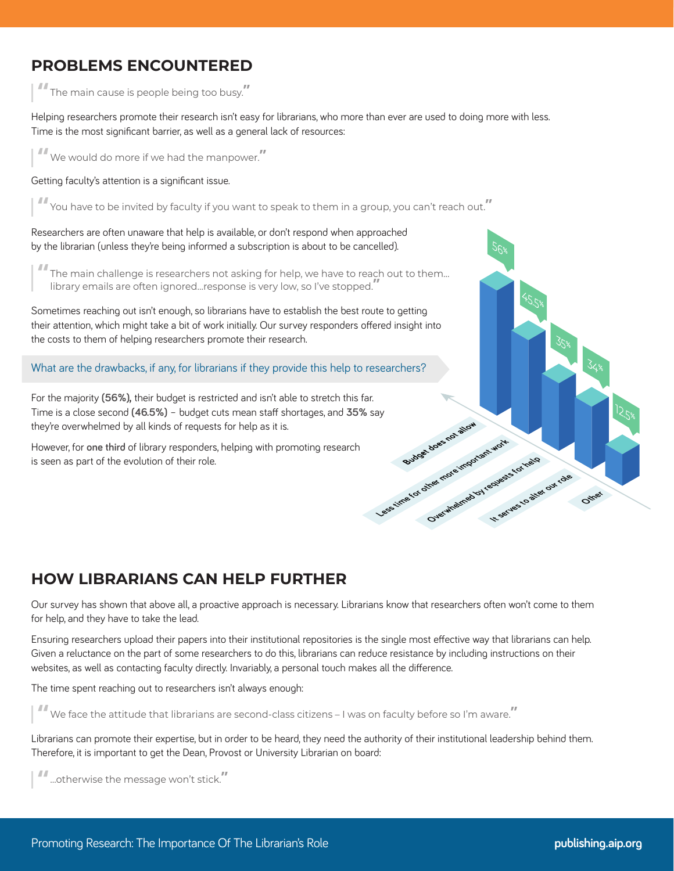# **PROBLEMS ENCOUNTERED**

**"** The main cause is people being too busy.**"**

Helping researchers promote their research isn't easy for librarians, who more than ever are used to doing more with less. Time is the most significant barrier, as well as a general lack of resources:

**"** We would do more if we had the manpower.**"**

Getting faculty's attention is a significant issue.

**"** You have to be invited by faculty if you want to speak to them in a group, you can't reach out.**"**

Researchers are often unaware that help is available, or don't respond when approached by the librarian (unless they're being informed a subscription is about to be cancelled).

**"** The main challenge is researchers not asking for help, we have to reach out to them… library emails are often ignored…response is very low, so I've stopped.**"**

Sometimes reaching out isn't enough, so librarians have to establish the best route to getting their attention, which might take a bit of work initially. Our survey responders offered insight into the costs to them of helping researchers promote their research.

What are the drawbacks, if any, for librarians if they provide this help to researchers?

For the majority **(56%),** their budget is restricted and isn't able to stretch this far. Time is a close second **(46.5%)** – budget cuts mean staff shortages, and **35%** say they're overwhelmed by all kinds of requests for help as it is. Less time for other more important work

However, for **one third** of library responders, helping with promoting research is seen as part of the evolution of their role.

# **HOW LIBRARIANS CAN HELP FURTHER**

Our survey has shown that above all, a proactive approach is necessary. Librarians know that researchers often won't come to them for help, and they have to take the lead.

Ensuring researchers upload their papers into their institutional repositories is the single most effective way that librarians can help. Given a reluctance on the part of some researchers to do this, librarians can reduce resistance by including instructions on their websites, as well as contacting faculty directly. Invariably, a personal touch makes all the difference.

The time spent reaching out to researchers isn't always enough:

**"** We face the attitude that librarians are second-class citizens – I was on faculty before so I'm aware.**"**

Librarians can promote their expertise, but in order to be heard, they need the authority of their institutional leadership behind them. Therefore, it is important to get the Dean, Provost or University Librarian on board:

**"**...otherwise the message won't stick.**"**

34**%**

**Other**

35**%**

45.5**%**

**It serves to alter our role** 

56**%**

Overwheirted by requests for help

Budget does not allow

12.5**%**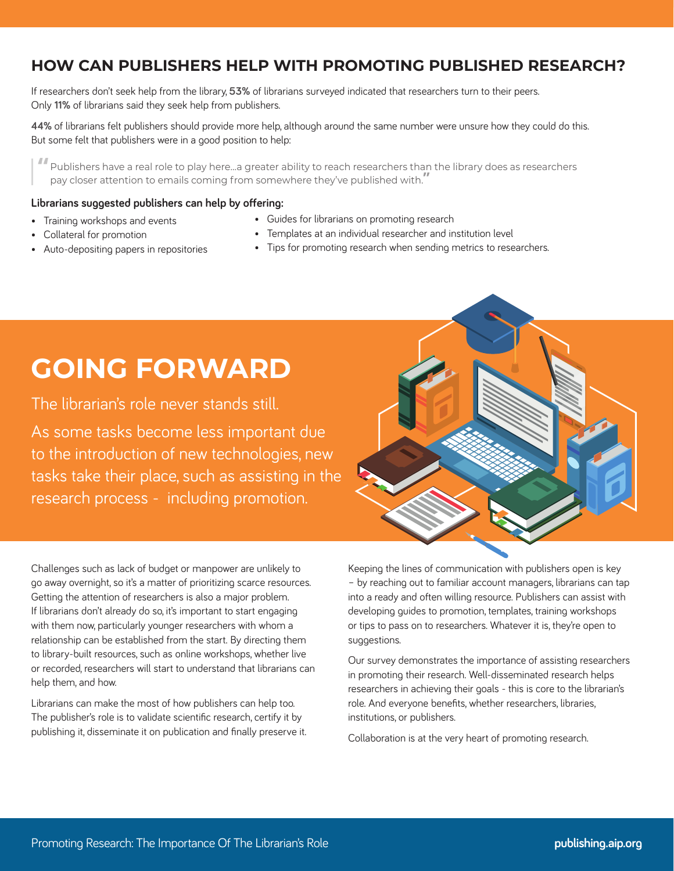# **HOW CAN PUBLISHERS HELP WITH PROMOTING PUBLISHED RESEARCH?**

If researchers don't seek help from the library, **53%** of librarians surveyed indicated that researchers turn to their peers. Only **11%** of librarians said they seek help from publishers.

**44%** of librarians felt publishers should provide more help, although around the same number were unsure how they could do this. But some felt that publishers were in a good position to help:

**"** Publishers have a real role to play here…a greater ability to reach researchers than the library does as researchers pay closer attention to emails coming from somewhere they've published with.**"**

#### **Librarians suggested publishers can help by offering:**

- Training workshops and events
- Collateral for promotion • Auto-depositing papers in repositories
- Guides for librarians on promoting research • Templates at an individual researcher and institution level
	- Tips for promoting research when sending metrics to researchers.

# **GOING FORWARD**

The librarian's role never stands still.

As some tasks become less important due to the introduction of new technologies, new tasks take their place, such as assisting in the research process - including promotion.

Challenges such as lack of budget or manpower are unlikely to go away overnight, so it's a matter of prioritizing scarce resources. Getting the attention of researchers is also a major problem. If librarians don't already do so, it's important to start engaging with them now, particularly younger researchers with whom a relationship can be established from the start. By directing them to library-built resources, such as online workshops, whether live or recorded, researchers will start to understand that librarians can help them, and how.

Librarians can make the most of how publishers can help too. The publisher's role is to validate scientific research, certify it by publishing it, disseminate it on publication and finally preserve it. Keeping the lines of communication with publishers open is key – by reaching out to familiar account managers, librarians can tap into a ready and often willing resource. Publishers can assist with developing guides to promotion, templates, training workshops or tips to pass on to researchers. Whatever it is, they're open to suggestions.

Our survey demonstrates the importance of assisting researchers in promoting their research. Well-disseminated research helps researchers in achieving their goals - this is core to the librarian's role. And everyone benefits, whether researchers, libraries, institutions, or publishers.

Collaboration is at the very heart of promoting research.